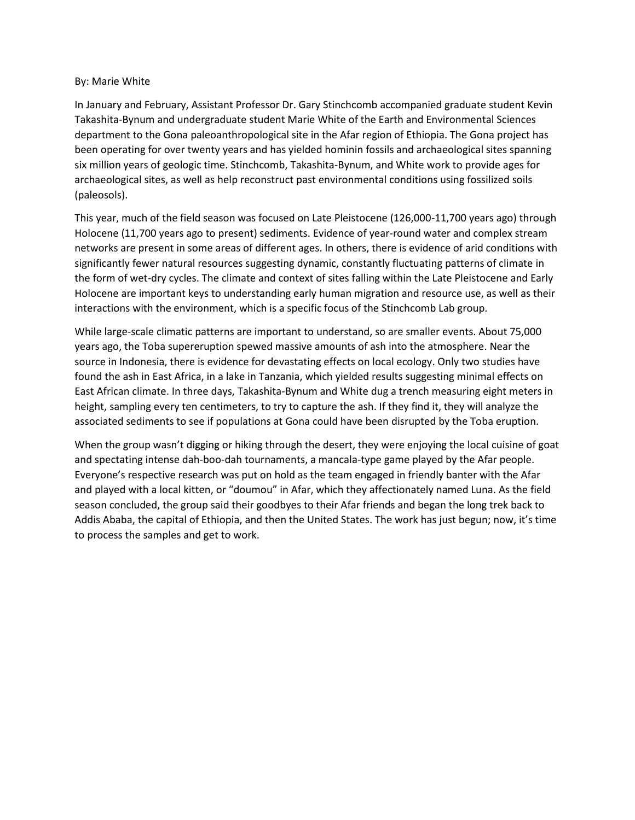## By: Marie White

In January and February, Assistant Professor Dr. Gary Stinchcomb accompanied graduate student Kevin Takashita-Bynum and undergraduate student Marie White of the Earth and Environmental Sciences department to the Gona paleoanthropological site in the Afar region of Ethiopia. The Gona project has been operating for over twenty years and has yielded hominin fossils and archaeological sites spanning six million years of geologic time. Stinchcomb, Takashita-Bynum, and White work to provide ages for archaeological sites, as well as help reconstruct past environmental conditions using fossilized soils (paleosols).

This year, much of the field season was focused on Late Pleistocene (126,000-11,700 years ago) through Holocene (11,700 years ago to present) sediments. Evidence of year-round water and complex stream networks are present in some areas of different ages. In others, there is evidence of arid conditions with significantly fewer natural resources suggesting dynamic, constantly fluctuating patterns of climate in the form of wet-dry cycles. The climate and context of sites falling within the Late Pleistocene and Early Holocene are important keys to understanding early human migration and resource use, as well as their interactions with the environment, which is a specific focus of the Stinchcomb Lab group.

While large-scale climatic patterns are important to understand, so are smaller events. About 75,000 years ago, the Toba supereruption spewed massive amounts of ash into the atmosphere. Near the source in Indonesia, there is evidence for devastating effects on local ecology. Only two studies have found the ash in East Africa, in a lake in Tanzania, which yielded results suggesting minimal effects on East African climate. In three days, Takashita-Bynum and White dug a trench measuring eight meters in height, sampling every ten centimeters, to try to capture the ash. If they find it, they will analyze the associated sediments to see if populations at Gona could have been disrupted by the Toba eruption.

When the group wasn't digging or hiking through the desert, they were enjoying the local cuisine of goat and spectating intense dah-boo-dah tournaments, a mancala-type game played by the Afar people. Everyone's respective research was put on hold as the team engaged in friendly banter with the Afar and played with a local kitten, or "doumou" in Afar, which they affectionately named Luna. As the field season concluded, the group said their goodbyes to their Afar friends and began the long trek back to Addis Ababa, the capital of Ethiopia, and then the United States. The work has just begun; now, it's time to process the samples and get to work.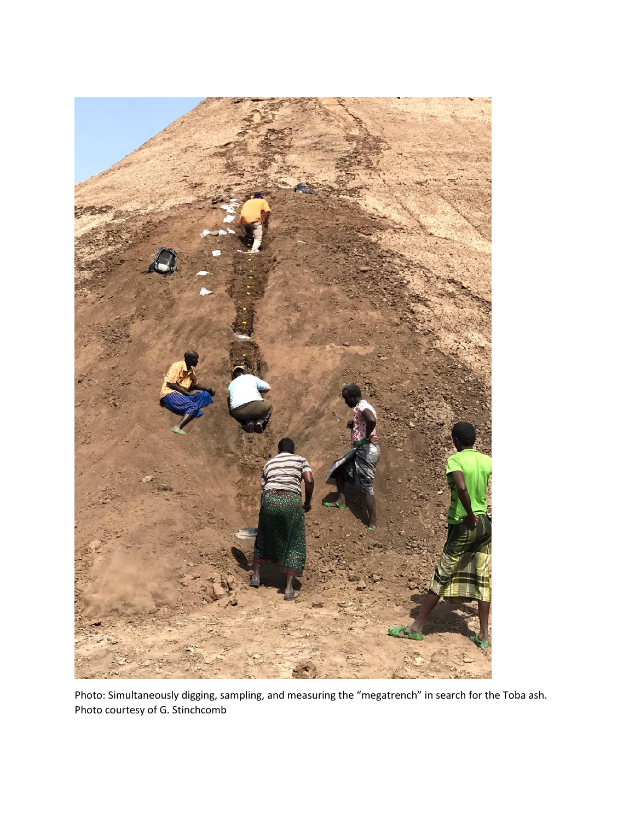

Photo: Simultaneously digging, sampling, and measuring the "megatrench" in search for the Toba ash. Photo courtesy of G. Stinchcomb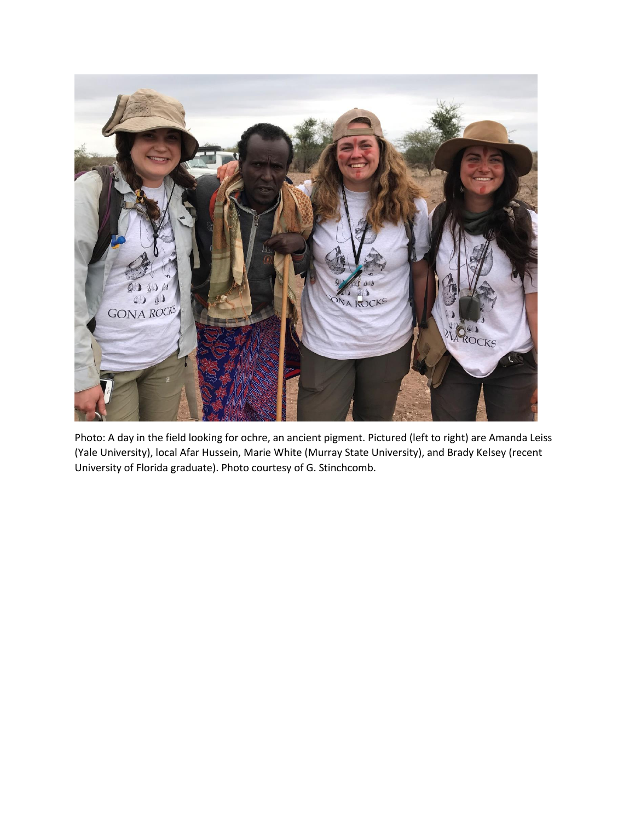

Photo: A day in the field looking for ochre, an ancient pigment. Pictured (left to right) are Amanda Leiss (Yale University), local Afar Hussein, Marie White (Murray State University), and Brady Kelsey (recent University of Florida graduate). Photo courtesy of G. Stinchcomb.